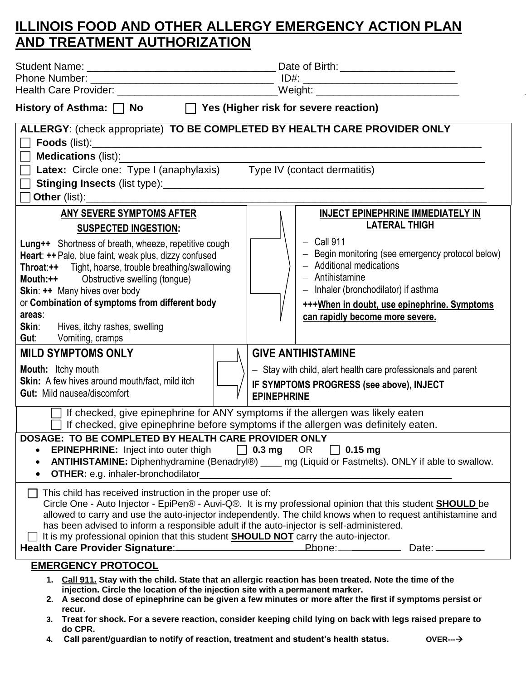## **ILLINOIS FOOD AND OTHER ALLERGY EMERGENCY ACTION PLAN AND TREATMENT AUTHORIZATION**

| Health Care Provider: ______________________________Weight: ____________________                                                                                                                                                                                                                                                                                                                                                                                      |                                                                                                                                                                                                                                                                                                                |
|-----------------------------------------------------------------------------------------------------------------------------------------------------------------------------------------------------------------------------------------------------------------------------------------------------------------------------------------------------------------------------------------------------------------------------------------------------------------------|----------------------------------------------------------------------------------------------------------------------------------------------------------------------------------------------------------------------------------------------------------------------------------------------------------------|
| History of Asthma: $\Box$ No $\Box$ Yes (Higher risk for severe reaction)                                                                                                                                                                                                                                                                                                                                                                                             |                                                                                                                                                                                                                                                                                                                |
| ALLERGY: (check appropriate) TO BE COMPLETED BY HEALTH CARE PROVIDER ONLY<br><b>Medications (list):</b><br>Latex: Circle one: Type I (anaphylaxis) Type IV (contact dermatitis)                                                                                                                                                                                                                                                                                       |                                                                                                                                                                                                                                                                                                                |
| ANY SEVERE SYMPTOMS AFTER<br><b>SUSPECTED INGESTION:</b><br>Lung++ Shortness of breath, wheeze, repetitive cough<br>Heart: ++ Pale, blue faint, weak plus, dizzy confused<br><b>Throat:++</b> Tight, hoarse, trouble breathing/swallowing<br><b>Mouth:++</b> Obstructive swelling (tongue)<br>Skin: ++ Many hives over body<br>or Combination of symptoms from different body<br>areas:<br><b>Skin:</b> Hives, itchy rashes, swelling<br><b>Gut:</b> Vomiting, cramps | <b>INJECT EPINEPHRINE IMMEDIATELY IN</b><br><b>LATERAL THIGH</b><br>$-$ Call 911<br>- Begin monitoring (see emergency protocol below)<br>- Additional medications<br>- Antihistamine<br>- Inhaler (bronchodilator) if asthma<br>+++When in doubt, use epinephrine. Symptoms<br>can rapidly become more severe. |
| <b>MILD SYMPTOMS ONLY</b><br><b>Mouth:</b> Itchy mouth<br><b>Skin:</b> A few hives around mouth/fact, mild itch<br>Gut: Mild nausea/discomfort                                                                                                                                                                                                                                                                                                                        | <b>GIVE ANTIHISTAMINE</b><br>- Stay with child, alert health care professionals and parent<br>IF SYMPTOMS PROGRESS (see above), INJECT<br><b>EPINEPHRINE</b>                                                                                                                                                   |
| If checked, give epinephrine for ANY symptoms if the allergen was likely eaten                                                                                                                                                                                                                                                                                                                                                                                        | If checked, give epinephrine before symptoms if the allergen was definitely eaten.                                                                                                                                                                                                                             |
| DOSAGE: TO BE COMPLETED BY HEALTH CARE PROVIDER ONLY<br><b>EPINEPHRINE:</b> Inject into outer thigh $\Box$ 0.3 mg OR $\Box$ 0.15 mg<br>$\bullet$<br>$\bullet$<br>OTHER: e.g. inhaler-bronchodilator_<br>$\bullet$                                                                                                                                                                                                                                                     | <b>ANTIHISTAMINE:</b> Diphenhydramine (Benadryl®) ____ mg (Liquid or Fastmelts). ONLY if able to swallow.                                                                                                                                                                                                      |
| This child has received instruction in the proper use of:<br>has been advised to inform a responsible adult if the auto-injector is self-administered.<br>It is my professional opinion that this student <b>SHOULD NOT</b> carry the auto-injector.<br>Health Care Provider Signature: Network and Phone: Network Care Provider Signature:                                                                                                                           | Circle One - Auto Injector - EpiPen® - Auvi-Q®. It is my professional opinion that this student <b>SHOULD</b> be<br>allowed to carry and use the auto-injector independently. The child knows when to request antihistamine and<br>Date: __________                                                            |
| <b>EMERGENCY PROTOCOL</b><br>injection. Circle the location of the injection site with a permanent marker.                                                                                                                                                                                                                                                                                                                                                            | 1. Call 911. Stay with the child. State that an allergic reaction has been treated. Note the time of the                                                                                                                                                                                                       |

- **2. A second dose of epinephrine can be given a few minutes or more after the first if symptoms persist or recur.**
- **3. Treat for shock. For a severe reaction, consider keeping child lying on back with legs raised prepare to do CPR.**
- **4. Call parent/guardian to notify of reaction, treatment and student's health status. OVER---**